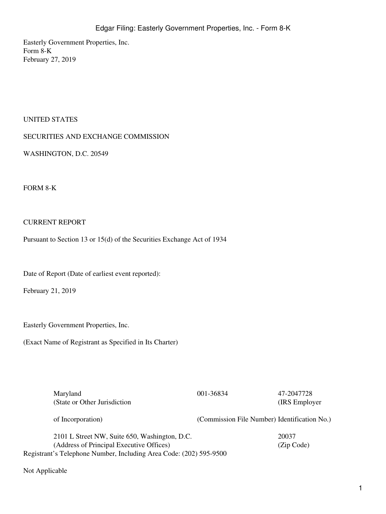Easterly Government Properties, Inc. Form 8-K February 27, 2019

# UNITED STATES

## SECURITIES AND EXCHANGE COMMISSION

WASHINGTON, D.C. 20549

#### FORM 8-K

## CURRENT REPORT

Pursuant to Section 13 or 15(d) of the Securities Exchange Act of 1934

Date of Report (Date of earliest event reported):

February 21, 2019

Easterly Government Properties, Inc.

(Exact Name of Registrant as Specified in Its Charter)

| Maryland<br>(State or Other Jurisdiction)                                                 | 001-36834                                    | 47-2047728<br>(IRS Employer) |
|-------------------------------------------------------------------------------------------|----------------------------------------------|------------------------------|
| of Incorporation)                                                                         | (Commission File Number) Identification No.) |                              |
| 2101 L Street NW, Suite 650, Washington, D.C.<br>(Address of Principal Executive Offices) |                                              | 20037<br>(Zip Code)          |

Registrant's Telephone Number, Including Area Code: (202) 595-9500

Not Applicable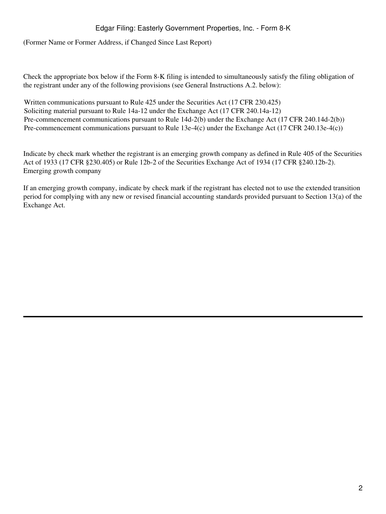# Edgar Filing: Easterly Government Properties, Inc. - Form 8-K

(Former Name or Former Address, if Changed Since Last Report)

Check the appropriate box below if the Form 8-K filing is intended to simultaneously satisfy the filing obligation of the registrant under any of the following provisions (see General Instructions A.2. below):

Written communications pursuant to Rule 425 under the Securities Act (17 CFR 230.425) Soliciting material pursuant to Rule 14a-12 under the Exchange Act (17 CFR 240.14a-12) Pre-commencement communications pursuant to Rule 14d-2(b) under the Exchange Act (17 CFR 240.14d-2(b)) Pre-commencement communications pursuant to Rule 13e-4(c) under the Exchange Act (17 CFR 240.13e-4(c))

Indicate by check mark whether the registrant is an emerging growth company as defined in Rule 405 of the Securities Act of 1933 (17 CFR §230.405) or Rule 12b-2 of the Securities Exchange Act of 1934 (17 CFR §240.12b-2). Emerging growth company

If an emerging growth company, indicate by check mark if the registrant has elected not to use the extended transition period for complying with any new or revised financial accounting standards provided pursuant to Section 13(a) of the Exchange Act.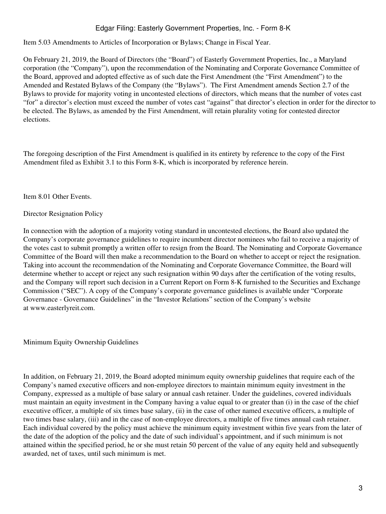# Edgar Filing: Easterly Government Properties, Inc. - Form 8-K

Item 5.03 Amendments to Articles of Incorporation or Bylaws; Change in Fiscal Year.

On February 21, 2019, the Board of Directors (the "Board") of Easterly Government Properties, Inc., a Maryland corporation (the "Company"), upon the recommendation of the Nominating and Corporate Governance Committee of the Board, approved and adopted effective as of such date the First Amendment (the "First Amendment") to the Amended and Restated Bylaws of the Company (the "Bylaws"). The First Amendment amends Section 2.7 of the Bylaws to provide for majority voting in uncontested elections of directors, which means that the number of votes cast "for" a director's election must exceed the number of votes cast "against" that director's election in order for the director to be elected. The Bylaws, as amended by the First Amendment, will retain plurality voting for contested director elections.

The foregoing description of the First Amendment is qualified in its entirety by reference to the copy of the First Amendment filed as Exhibit 3.1 to this Form 8-K, which is incorporated by reference herein.

Item 8.01 Other Events.

#### Director Resignation Policy

In connection with the adoption of a majority voting standard in uncontested elections, the Board also updated the Company's corporate governance guidelines to require incumbent director nominees who fail to receive a majority of the votes cast to submit promptly a written offer to resign from the Board. The Nominating and Corporate Governance Committee of the Board will then make a recommendation to the Board on whether to accept or reject the resignation. Taking into account the recommendation of the Nominating and Corporate Governance Committee, the Board will determine whether to accept or reject any such resignation within 90 days after the certification of the voting results, and the Company will report such decision in a Current Report on Form 8-K furnished to the Securities and Exchange Commission ("SEC"). A copy of the Company's corporate governance guidelines is available under "Corporate Governance - Governance Guidelines" in the "Investor Relations" section of the Company's website at www.easterlyreit.com.

Minimum Equity Ownership Guidelines

In addition, on February 21, 2019, the Board adopted minimum equity ownership guidelines that require each of the Company's named executive officers and non-employee directors to maintain minimum equity investment in the Company, expressed as a multiple of base salary or annual cash retainer. Under the guidelines, covered individuals must maintain an equity investment in the Company having a value equal to or greater than (i) in the case of the chief executive officer, a multiple of six times base salary, (ii) in the case of other named executive officers, a multiple of two times base salary, (iii) and in the case of non-employee directors, a multiple of five times annual cash retainer. Each individual covered by the policy must achieve the minimum equity investment within five years from the later of the date of the adoption of the policy and the date of such individual's appointment, and if such minimum is not attained within the specified period, he or she must retain 50 percent of the value of any equity held and subsequently awarded, net of taxes, until such minimum is met.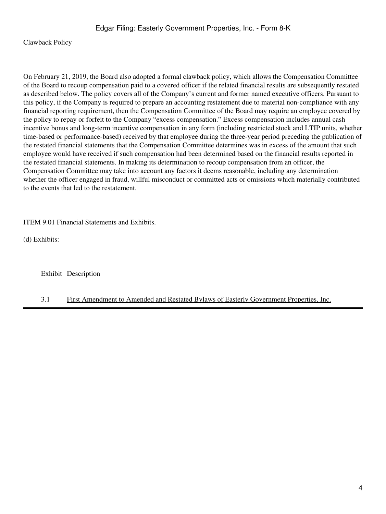Clawback Policy

On February 21, 2019, the Board also adopted a formal clawback policy, which allows the Compensation Committee of the Board to recoup compensation paid to a covered officer if the related financial results are subsequently restated as described below. The policy covers all of the Company's current and former named executive officers. Pursuant to this policy, if the Company is required to prepare an accounting restatement due to material non-compliance with any financial reporting requirement, then the Compensation Committee of the Board may require an employee covered by the policy to repay or forfeit to the Company "excess compensation." Excess compensation includes annual cash incentive bonus and long-term incentive compensation in any form (including restricted stock and LTIP units, whether time-based or performance-based) received by that employee during the three-year period preceding the publication of the restated financial statements that the Compensation Committee determines was in excess of the amount that such employee would have received if such compensation had been determined based on the financial results reported in the restated financial statements. In making its determination to recoup compensation from an officer, the Compensation Committee may take into account any factors it deems reasonable, including any determination whether the officer engaged in fraud, willful misconduct or committed acts or omissions which materially contributed to the events that led to the restatement.

ITEM 9.01 Financial Statements and Exhibits.

(d) Exhibits:

Exhibit Description

## 3.1 First Amendment to Amended and Restated Bylaws of Easterly Government Properties, Inc.